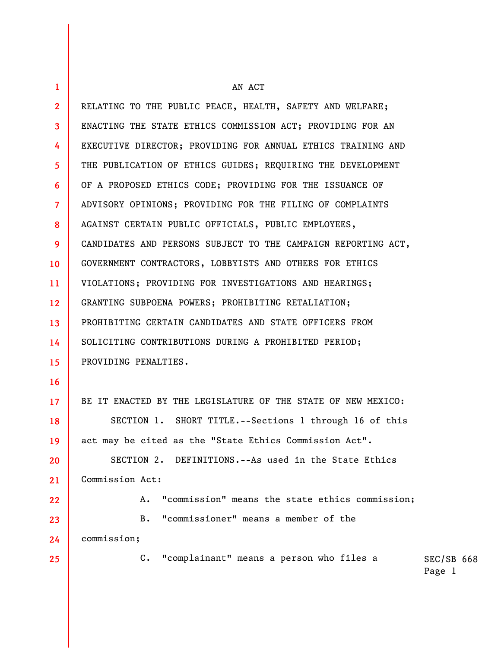| $\mathbf{1}$            | AN ACT                                                        |                      |  |
|-------------------------|---------------------------------------------------------------|----------------------|--|
| $\overline{2}$          | RELATING TO THE PUBLIC PEACE, HEALTH, SAFETY AND WELFARE;     |                      |  |
| $\overline{\mathbf{3}}$ | ENACTING THE STATE ETHICS COMMISSION ACT; PROVIDING FOR AN    |                      |  |
| 4                       | EXECUTIVE DIRECTOR; PROVIDING FOR ANNUAL ETHICS TRAINING AND  |                      |  |
| 5                       | THE PUBLICATION OF ETHICS GUIDES; REQUIRING THE DEVELOPMENT   |                      |  |
| 6                       | OF A PROPOSED ETHICS CODE; PROVIDING FOR THE ISSUANCE OF      |                      |  |
| $\overline{7}$          | ADVISORY OPINIONS; PROVIDING FOR THE FILING OF COMPLAINTS     |                      |  |
| 8                       | AGAINST CERTAIN PUBLIC OFFICIALS, PUBLIC EMPLOYEES,           |                      |  |
| 9                       | CANDIDATES AND PERSONS SUBJECT TO THE CAMPAIGN REPORTING ACT, |                      |  |
| 10                      | GOVERNMENT CONTRACTORS, LOBBYISTS AND OTHERS FOR ETHICS       |                      |  |
| 11                      | VIOLATIONS; PROVIDING FOR INVESTIGATIONS AND HEARINGS;        |                      |  |
| 12 <sup>2</sup>         | GRANTING SUBPOENA POWERS; PROHIBITING RETALIATION;            |                      |  |
| 13                      | PROHIBITING CERTAIN CANDIDATES AND STATE OFFICERS FROM        |                      |  |
| 14                      | SOLICITING CONTRIBUTIONS DURING A PROHIBITED PERIOD;          |                      |  |
| 15                      | PROVIDING PENALTIES.                                          |                      |  |
| 16                      |                                                               |                      |  |
| 17 <sup>2</sup>         | BE IT ENACTED BY THE LEGISLATURE OF THE STATE OF NEW MEXICO:  |                      |  |
| 18                      | SECTION 1. SHORT TITLE.--Sections 1 through 16 of this        |                      |  |
| 19                      | act may be cited as the "State Ethics Commission Act".        |                      |  |
| 20                      | SECTION 2. DEFINITIONS.--As used in the State Ethics          |                      |  |
| 21                      | Commission Act:                                               |                      |  |
| 22                      | "commission" means the state ethics commission;<br>Α.         |                      |  |
| 23                      | "commissioner" means a member of the<br>В.                    |                      |  |
| 24                      | commission;                                                   |                      |  |
| 25                      | "complainant" means a person who files a<br>$C_{\bullet}$     | SEC/SB 668<br>Page 1 |  |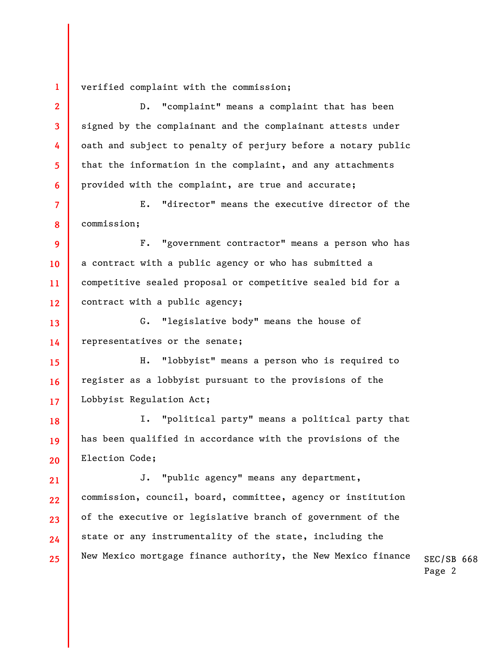verified complaint with the commission;

**1** 

**8** 

**2 3 4 5 6 7**  D. "complaint" means a complaint that has been signed by the complainant and the complainant attests under oath and subject to penalty of perjury before a notary public that the information in the complaint, and any attachments provided with the complaint, are true and accurate; E. "director" means the executive director of the

commission;

**9 10 11 12**  F. "government contractor" means a person who has a contract with a public agency or who has submitted a competitive sealed proposal or competitive sealed bid for a contract with a public agency;

**13 14**  G. "legislative body" means the house of representatives or the senate;

**15 16 17**  H. "lobbyist" means a person who is required to register as a lobbyist pursuant to the provisions of the Lobbyist Regulation Act;

**18 19 20**  I. "political party" means a political party that has been qualified in accordance with the provisions of the Election Code;

SEC/SB 668 **21 22 23 24 25**  J. "public agency" means any department, commission, council, board, committee, agency or institution of the executive or legislative branch of government of the state or any instrumentality of the state, including the New Mexico mortgage finance authority, the New Mexico finance

Page 2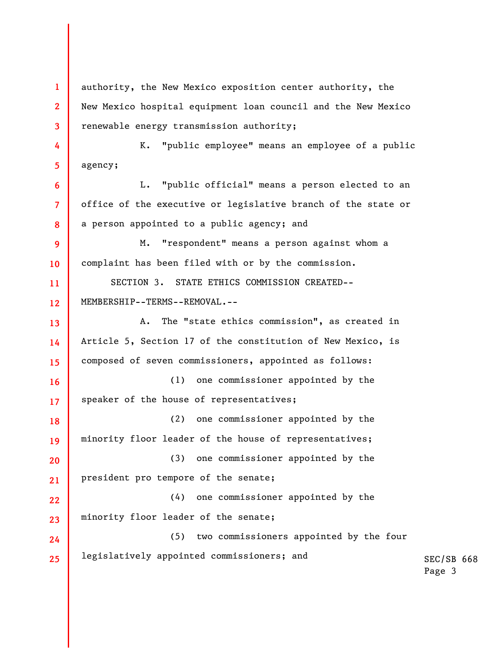SEC/SB 668 Page 3 **1 2 3 4 5 6 7 8 9 10 11 12 13 14 15 16 17 18 19 20 21 22 23 24 25**  authority, the New Mexico exposition center authority, the New Mexico hospital equipment loan council and the New Mexico renewable energy transmission authority; K. "public employee" means an employee of a public agency; L. "public official" means a person elected to an office of the executive or legislative branch of the state or a person appointed to a public agency; and M. "respondent" means a person against whom a complaint has been filed with or by the commission. SECTION 3. STATE ETHICS COMMISSION CREATED-- MEMBERSHIP--TERMS--REMOVAL.-- A. The "state ethics commission", as created in Article 5, Section 17 of the constitution of New Mexico, is composed of seven commissioners, appointed as follows: (1) one commissioner appointed by the speaker of the house of representatives; (2) one commissioner appointed by the minority floor leader of the house of representatives; (3) one commissioner appointed by the president pro tempore of the senate; (4) one commissioner appointed by the minority floor leader of the senate; (5) two commissioners appointed by the four legislatively appointed commissioners; and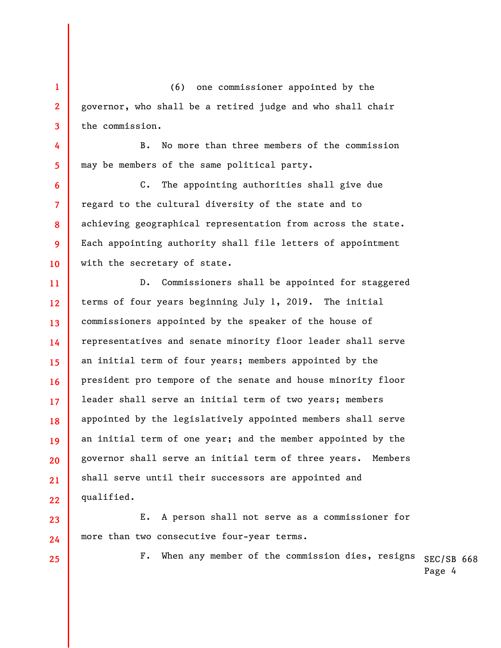**1 2 3**  (6) one commissioner appointed by the governor, who shall be a retired judge and who shall chair the commission.

B. No more than three members of the commission may be members of the same political party.

C. The appointing authorities shall give due regard to the cultural diversity of the state and to achieving geographical representation from across the state. Each appointing authority shall file letters of appointment with the secretary of state.

**11 12 13 14 15 16 17 18 19 20 21 22**  D. Commissioners shall be appointed for staggered terms of four years beginning July 1, 2019. The initial commissioners appointed by the speaker of the house of representatives and senate minority floor leader shall serve an initial term of four years; members appointed by the president pro tempore of the senate and house minority floor leader shall serve an initial term of two years; members appointed by the legislatively appointed members shall serve an initial term of one year; and the member appointed by the governor shall serve an initial term of three years. Members shall serve until their successors are appointed and qualified.

E. A person shall not serve as a commissioner for more than two consecutive four-year terms.

**25** 

**23** 

**24** 

**4** 

**5** 

**6** 

**7** 

**8** 

**9** 

**10** 

F. When any member of the commission dies, resigns  $_{\rm SEC/SB}$  668 Page 4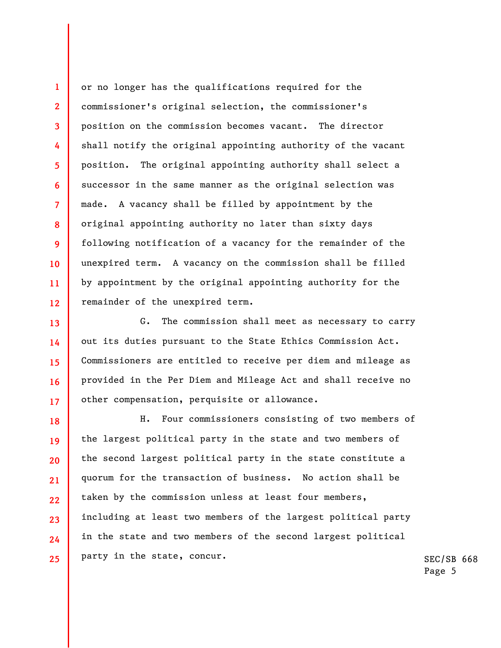**4 6 8 12**  or no longer has the qualifications required for the commissioner's original selection, the commissioner's position on the commission becomes vacant. The director shall notify the original appointing authority of the vacant position. The original appointing authority shall select a successor in the same manner as the original selection was made. A vacancy shall be filled by appointment by the original appointing authority no later than sixty days following notification of a vacancy for the remainder of the unexpired term. A vacancy on the commission shall be filled by appointment by the original appointing authority for the remainder of the unexpired term.

**1** 

**2** 

**3** 

**5** 

**7** 

**9** 

**10** 

**11** 

**13 14 15 16 17**  G. The commission shall meet as necessary to carry out its duties pursuant to the State Ethics Commission Act. Commissioners are entitled to receive per diem and mileage as provided in the Per Diem and Mileage Act and shall receive no other compensation, perquisite or allowance.

**18 19 20 21 22 23 24 25**  H. Four commissioners consisting of two members of the largest political party in the state and two members of the second largest political party in the state constitute a quorum for the transaction of business. No action shall be taken by the commission unless at least four members, including at least two members of the largest political party in the state and two members of the second largest political party in the state, concur.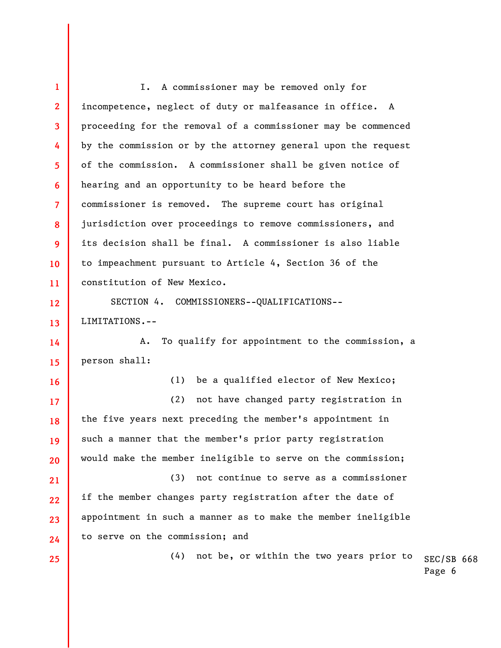SEC/SB 668 **1 2 3 4 5 6 7 8 9 10 11 12 13 14 15 16 17 18 19 20 21 22 23 24 25**  I. A commissioner may be removed only for incompetence, neglect of duty or malfeasance in office. A proceeding for the removal of a commissioner may be commenced by the commission or by the attorney general upon the request of the commission. A commissioner shall be given notice of hearing and an opportunity to be heard before the commissioner is removed. The supreme court has original jurisdiction over proceedings to remove commissioners, and its decision shall be final. A commissioner is also liable to impeachment pursuant to Article 4, Section 36 of the constitution of New Mexico. SECTION 4. COMMISSIONERS--QUALIFICATIONS-- LIMITATIONS.-- A. To qualify for appointment to the commission, a person shall: (1) be a qualified elector of New Mexico; (2) not have changed party registration in the five years next preceding the member's appointment in such a manner that the member's prior party registration would make the member ineligible to serve on the commission; (3) not continue to serve as a commissioner if the member changes party registration after the date of appointment in such a manner as to make the member ineligible to serve on the commission; and (4) not be, or within the two years prior to

Page 6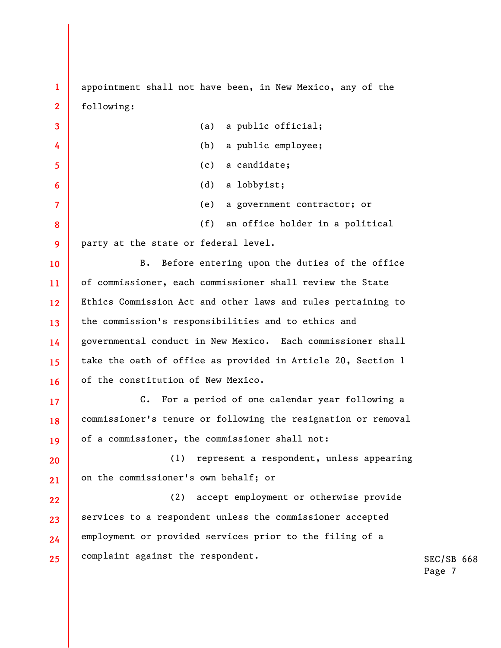appointment shall not have been, in New Mexico, any of the following:

**1** 

**2** 

**3 4 5 6 7 8 9 10 11 12 13 14 15 16 17 18 19 20 21 22 23 24 25**  (a) a public official; (b) a public employee; (c) a candidate; (d) a lobbyist; (e) a government contractor; or (f) an office holder in a political party at the state or federal level. B. Before entering upon the duties of the office of commissioner, each commissioner shall review the State Ethics Commission Act and other laws and rules pertaining to the commission's responsibilities and to ethics and governmental conduct in New Mexico. Each commissioner shall take the oath of office as provided in Article 20, Section 1 of the constitution of New Mexico. C. For a period of one calendar year following a commissioner's tenure or following the resignation or removal of a commissioner, the commissioner shall not: (1) represent a respondent, unless appearing on the commissioner's own behalf; or (2) accept employment or otherwise provide services to a respondent unless the commissioner accepted employment or provided services prior to the filing of a complaint against the respondent.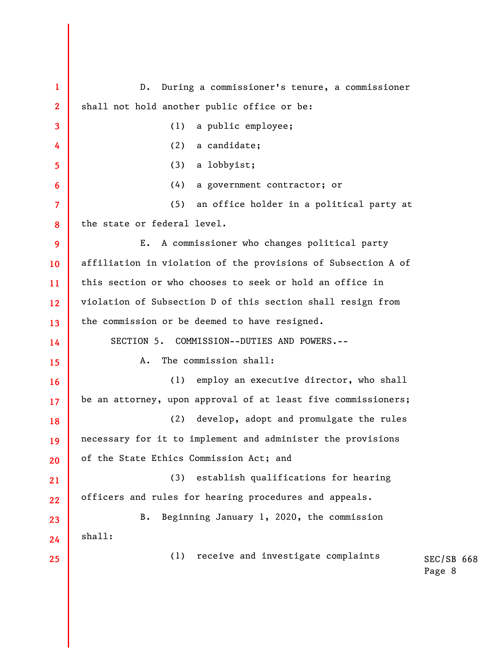SEC/SB 668 Page 8 **1 2 3 4 5 6 7 8 9 10 11 12 13 14 15 16 17 18 19 20 21 22 23 24 25**  D. During a commissioner's tenure, a commissioner shall not hold another public office or be: (1) a public employee; (2) a candidate; (3) a lobbyist; (4) a government contractor; or (5) an office holder in a political party at the state or federal level. E. A commissioner who changes political party affiliation in violation of the provisions of Subsection A of this section or who chooses to seek or hold an office in violation of Subsection D of this section shall resign from the commission or be deemed to have resigned. SECTION 5. COMMISSION--DUTIES AND POWERS.-- A. The commission shall: (1) employ an executive director, who shall be an attorney, upon approval of at least five commissioners; (2) develop, adopt and promulgate the rules necessary for it to implement and administer the provisions of the State Ethics Commission Act; and (3) establish qualifications for hearing officers and rules for hearing procedures and appeals. B. Beginning January 1, 2020, the commission shall: (1) receive and investigate complaints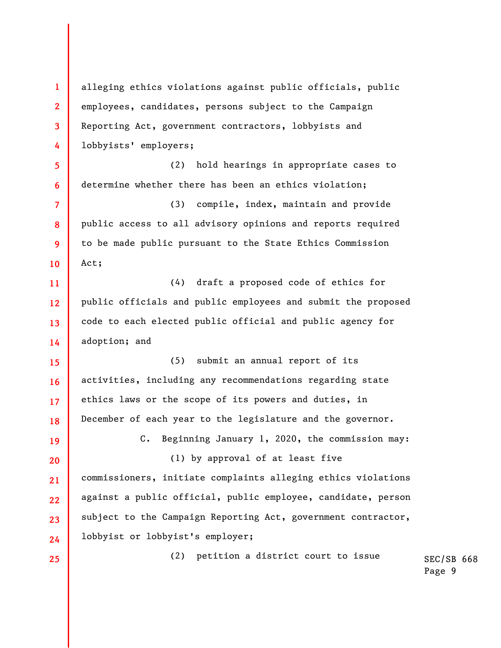**1 2 3 4 5 6 7 8 9 10 11 12 13 14 15 16 17 18 19 20 21 22 23 24 25**  alleging ethics violations against public officials, public employees, candidates, persons subject to the Campaign Reporting Act, government contractors, lobbyists and lobbyists' employers; (2) hold hearings in appropriate cases to determine whether there has been an ethics violation; (3) compile, index, maintain and provide public access to all advisory opinions and reports required to be made public pursuant to the State Ethics Commission Act; (4) draft a proposed code of ethics for public officials and public employees and submit the proposed code to each elected public official and public agency for adoption; and (5) submit an annual report of its activities, including any recommendations regarding state ethics laws or the scope of its powers and duties, in December of each year to the legislature and the governor. C. Beginning January 1, 2020, the commission may: (1) by approval of at least five commissioners, initiate complaints alleging ethics violations against a public official, public employee, candidate, person subject to the Campaign Reporting Act, government contractor, lobbyist or lobbyist's employer; (2) petition a district court to issue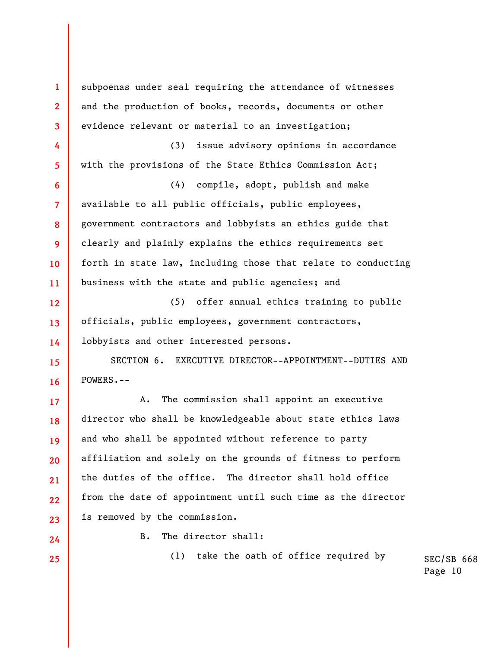**1 2 3 4 5 6 7 8 9 10 11 12 13 14 15 16 17 18 19 20 21 22 23 24 25**  subpoenas under seal requiring the attendance of witnesses and the production of books, records, documents or other evidence relevant or material to an investigation; (3) issue advisory opinions in accordance with the provisions of the State Ethics Commission Act; (4) compile, adopt, publish and make available to all public officials, public employees, government contractors and lobbyists an ethics guide that clearly and plainly explains the ethics requirements set forth in state law, including those that relate to conducting business with the state and public agencies; and (5) offer annual ethics training to public officials, public employees, government contractors, lobbyists and other interested persons. SECTION 6. EXECUTIVE DIRECTOR--APPOINTMENT--DUTIES AND POWERS.-- A. The commission shall appoint an executive director who shall be knowledgeable about state ethics laws and who shall be appointed without reference to party affiliation and solely on the grounds of fitness to perform the duties of the office. The director shall hold office from the date of appointment until such time as the director is removed by the commission. B. The director shall: (1) take the oath of office required by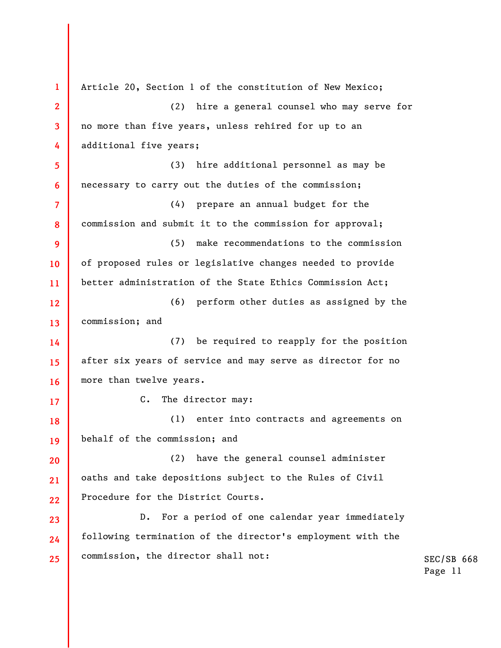SEC/SB 668 Page 11 **1 2 3 4 5 6 7 8 9 10 11 12 13 14 15 16 17 18 19 20 21 22 23 24 25**  Article 20, Section 1 of the constitution of New Mexico; (2) hire a general counsel who may serve for no more than five years, unless rehired for up to an additional five years; (3) hire additional personnel as may be necessary to carry out the duties of the commission; (4) prepare an annual budget for the commission and submit it to the commission for approval; (5) make recommendations to the commission of proposed rules or legislative changes needed to provide better administration of the State Ethics Commission Act; (6) perform other duties as assigned by the commission; and (7) be required to reapply for the position after six years of service and may serve as director for no more than twelve years. C. The director may: (1) enter into contracts and agreements on behalf of the commission; and (2) have the general counsel administer oaths and take depositions subject to the Rules of Civil Procedure for the District Courts. D. For a period of one calendar year immediately following termination of the director's employment with the commission, the director shall not: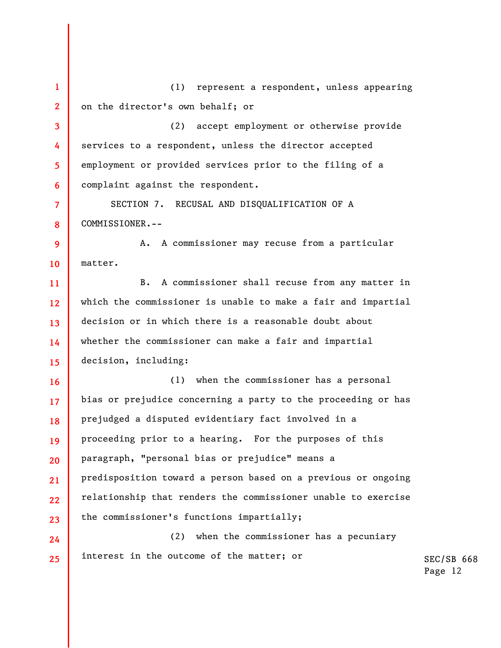SEC/SB 668 Page 12 **1 2 3 4 5 6 7 8 9 10 11 12 13 14 15 16 17 18 19 20 21 22 23 24 25**  (1) represent a respondent, unless appearing on the director's own behalf; or (2) accept employment or otherwise provide services to a respondent, unless the director accepted employment or provided services prior to the filing of a complaint against the respondent. SECTION 7. RECUSAL AND DISQUALIFICATION OF A COMMISSIONER.-- A. A commissioner may recuse from a particular matter. B. A commissioner shall recuse from any matter in which the commissioner is unable to make a fair and impartial decision or in which there is a reasonable doubt about whether the commissioner can make a fair and impartial decision, including: (1) when the commissioner has a personal bias or prejudice concerning a party to the proceeding or has prejudged a disputed evidentiary fact involved in a proceeding prior to a hearing. For the purposes of this paragraph, "personal bias or prejudice" means a predisposition toward a person based on a previous or ongoing relationship that renders the commissioner unable to exercise the commissioner's functions impartially; (2) when the commissioner has a pecuniary interest in the outcome of the matter; or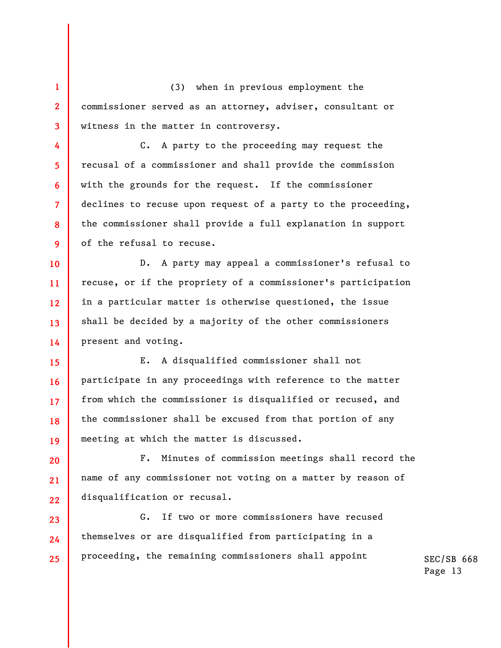**1 2 3**  (3) when in previous employment the commissioner served as an attorney, adviser, consultant or witness in the matter in controversy.

**4** 

**5** 

**6** 

**7** 

**8** 

**9** 

C. A party to the proceeding may request the recusal of a commissioner and shall provide the commission with the grounds for the request. If the commissioner declines to recuse upon request of a party to the proceeding, the commissioner shall provide a full explanation in support of the refusal to recuse.

**10 11 12 13 14**  D. A party may appeal a commissioner's refusal to recuse, or if the propriety of a commissioner's participation in a particular matter is otherwise questioned, the issue shall be decided by a majority of the other commissioners present and voting.

**15 16 17 18 19**  E. A disqualified commissioner shall not participate in any proceedings with reference to the matter from which the commissioner is disqualified or recused, and the commissioner shall be excused from that portion of any meeting at which the matter is discussed.

**20 21 22**  F. Minutes of commission meetings shall record the name of any commissioner not voting on a matter by reason of disqualification or recusal.

**23 24 25**  G. If two or more commissioners have recused themselves or are disqualified from participating in a proceeding, the remaining commissioners shall appoint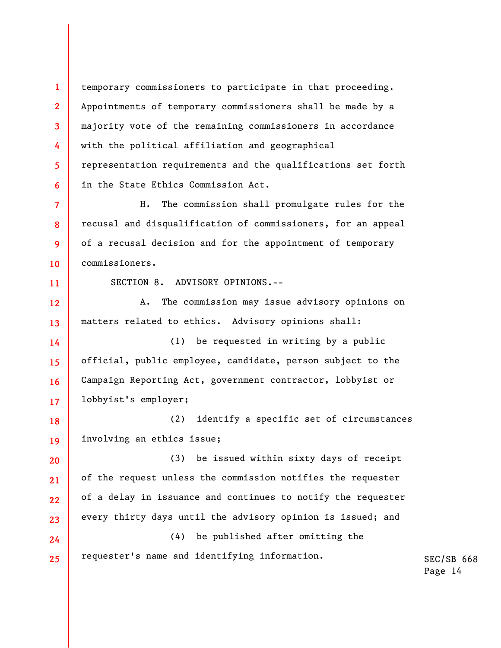temporary commissioners to participate in that proceeding. Appointments of temporary commissioners shall be made by a majority vote of the remaining commissioners in accordance with the political affiliation and geographical representation requirements and the qualifications set forth in the State Ethics Commission Act.

**7 8 9 10**  H. The commission shall promulgate rules for the recusal and disqualification of commissioners, for an appeal of a recusal decision and for the appointment of temporary commissioners.

**11** 

**1** 

**2** 

**3** 

**4** 

**5** 

**6** 

SECTION 8. ADVISORY OPINIONS.--

**12 13**  A. The commission may issue advisory opinions on matters related to ethics. Advisory opinions shall:

**14 15 16 17**  (1) be requested in writing by a public official, public employee, candidate, person subject to the Campaign Reporting Act, government contractor, lobbyist or lobbyist's employer;

**18 19**  (2) identify a specific set of circumstances involving an ethics issue;

**20 21 22 23**  (3) be issued within sixty days of receipt of the request unless the commission notifies the requester of a delay in issuance and continues to notify the requester every thirty days until the advisory opinion is issued; and

**24 25**  (4) be published after omitting the requester's name and identifying information.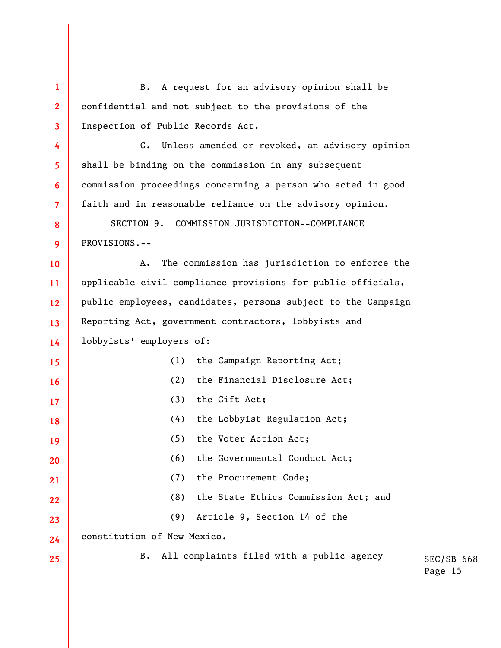SEC/SB 668 Page 15 **1 2 3 4 5 6 7 8 9 10 11 12 13 14 15 16 17 18 19 20 21 22 23 24 25**  B. A request for an advisory opinion shall be confidential and not subject to the provisions of the Inspection of Public Records Act. C. Unless amended or revoked, an advisory opinion shall be binding on the commission in any subsequent commission proceedings concerning a person who acted in good faith and in reasonable reliance on the advisory opinion. SECTION 9. COMMISSION JURISDICTION--COMPLIANCE PROVISIONS.-- A. The commission has jurisdiction to enforce the applicable civil compliance provisions for public officials, public employees, candidates, persons subject to the Campaign Reporting Act, government contractors, lobbyists and lobbyists' employers of: (1) the Campaign Reporting Act; (2) the Financial Disclosure Act; (3) the Gift Act; (4) the Lobbyist Regulation Act; (5) the Voter Action Act; (6) the Governmental Conduct Act; (7) the Procurement Code; (8) the State Ethics Commission Act; and (9) Article 9, Section 14 of the constitution of New Mexico. B. All complaints filed with a public agency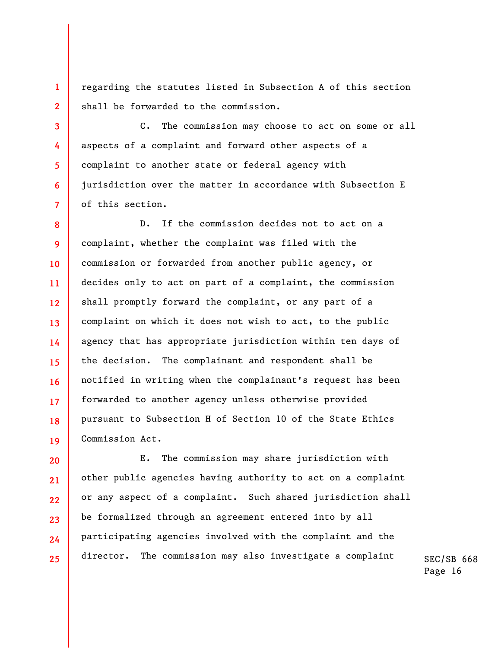regarding the statutes listed in Subsection A of this section shall be forwarded to the commission.

**1** 

**2** 

**3** 

**4** 

**5** 

**6** 

**7** 

C. The commission may choose to act on some or all aspects of a complaint and forward other aspects of a complaint to another state or federal agency with jurisdiction over the matter in accordance with Subsection E of this section.

**8 9 10 11 12 13 14 15 16 17 18 19**  D. If the commission decides not to act on a complaint, whether the complaint was filed with the commission or forwarded from another public agency, or decides only to act on part of a complaint, the commission shall promptly forward the complaint, or any part of a complaint on which it does not wish to act, to the public agency that has appropriate jurisdiction within ten days of the decision. The complainant and respondent shall be notified in writing when the complainant's request has been forwarded to another agency unless otherwise provided pursuant to Subsection H of Section 10 of the State Ethics Commission Act.

**20 21 22 23 24 25**  E. The commission may share jurisdiction with other public agencies having authority to act on a complaint or any aspect of a complaint. Such shared jurisdiction shall be formalized through an agreement entered into by all participating agencies involved with the complaint and the director. The commission may also investigate a complaint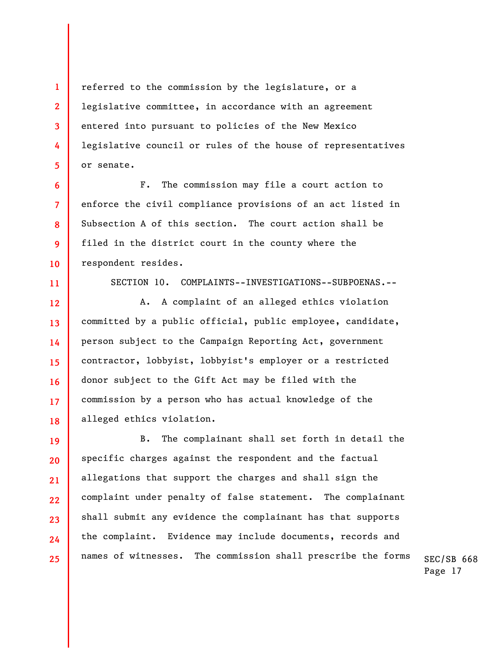referred to the commission by the legislature, or a legislative committee, in accordance with an agreement entered into pursuant to policies of the New Mexico legislative council or rules of the house of representatives or senate.

**1** 

**2** 

**3** 

**4** 

**5** 

**6** 

**7** 

**8** 

**9** 

**10** 

**11** 

F. The commission may file a court action to enforce the civil compliance provisions of an act listed in Subsection A of this section. The court action shall be filed in the district court in the county where the respondent resides.

SECTION 10. COMPLAINTS--INVESTIGATIONS--SUBPOENAS.--

**12 13 14 15 16 17 18**  A. A complaint of an alleged ethics violation committed by a public official, public employee, candidate, person subject to the Campaign Reporting Act, government contractor, lobbyist, lobbyist's employer or a restricted donor subject to the Gift Act may be filed with the commission by a person who has actual knowledge of the alleged ethics violation.

**19 20 21 22 23 24 25**  B. The complainant shall set forth in detail the specific charges against the respondent and the factual allegations that support the charges and shall sign the complaint under penalty of false statement. The complainant shall submit any evidence the complainant has that supports the complaint. Evidence may include documents, records and names of witnesses. The commission shall prescribe the forms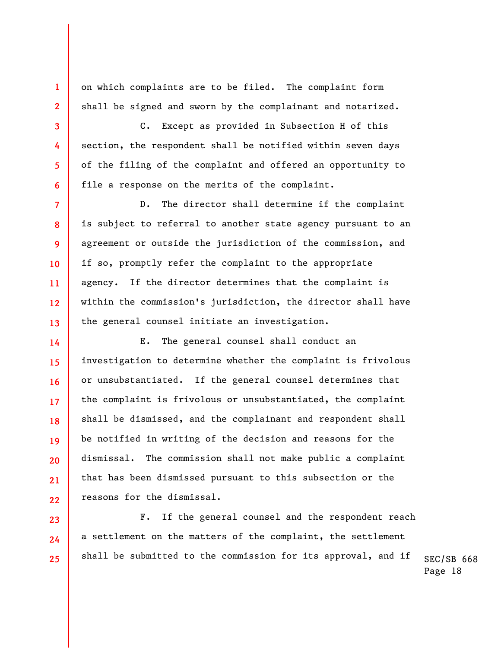on which complaints are to be filed. The complaint form shall be signed and sworn by the complainant and notarized.

**1** 

**2** 

**3** 

**4** 

**5** 

**6** 

**7** 

**8** 

**9** 

**10** 

**11** 

**12** 

**13** 

**14** 

**15** 

**16** 

**17** 

**18** 

**19** 

**20** 

**21** 

**22** 

**23** 

**24** 

**25** 

C. Except as provided in Subsection H of this section, the respondent shall be notified within seven days of the filing of the complaint and offered an opportunity to file a response on the merits of the complaint.

D. The director shall determine if the complaint is subject to referral to another state agency pursuant to an agreement or outside the jurisdiction of the commission, and if so, promptly refer the complaint to the appropriate agency. If the director determines that the complaint is within the commission's jurisdiction, the director shall have the general counsel initiate an investigation.

E. The general counsel shall conduct an investigation to determine whether the complaint is frivolous or unsubstantiated. If the general counsel determines that the complaint is frivolous or unsubstantiated, the complaint shall be dismissed, and the complainant and respondent shall be notified in writing of the decision and reasons for the dismissal. The commission shall not make public a complaint that has been dismissed pursuant to this subsection or the reasons for the dismissal.

F. If the general counsel and the respondent reach a settlement on the matters of the complaint, the settlement shall be submitted to the commission for its approval, and if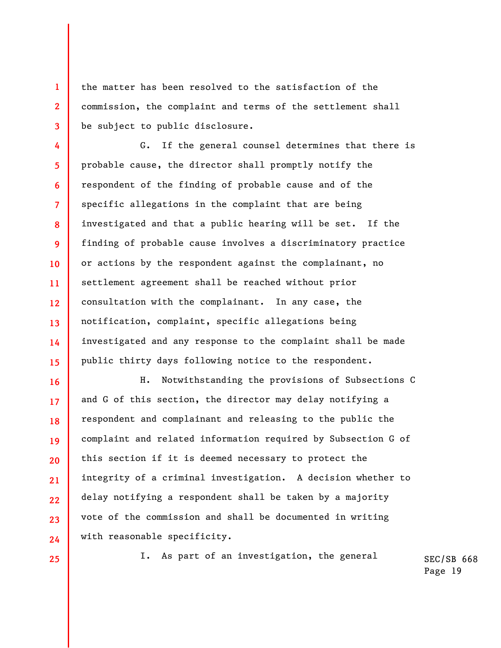the matter has been resolved to the satisfaction of the commission, the complaint and terms of the settlement shall be subject to public disclosure.

**4 5 6 7 8 9 10 11 12 13 14 15**  G. If the general counsel determines that there is probable cause, the director shall promptly notify the respondent of the finding of probable cause and of the specific allegations in the complaint that are being investigated and that a public hearing will be set. If the finding of probable cause involves a discriminatory practice or actions by the respondent against the complainant, no settlement agreement shall be reached without prior consultation with the complainant. In any case, the notification, complaint, specific allegations being investigated and any response to the complaint shall be made public thirty days following notice to the respondent.

H. Notwithstanding the provisions of Subsections C and G of this section, the director may delay notifying a respondent and complainant and releasing to the public the complaint and related information required by Subsection G of this section if it is deemed necessary to protect the integrity of a criminal investigation. A decision whether to delay notifying a respondent shall be taken by a majority vote of the commission and shall be documented in writing with reasonable specificity.

**25** 

**16** 

**17** 

**18** 

**19** 

**20** 

**21** 

**22** 

**23** 

**24** 

**1** 

**2** 

**3** 

I. As part of an investigation, the general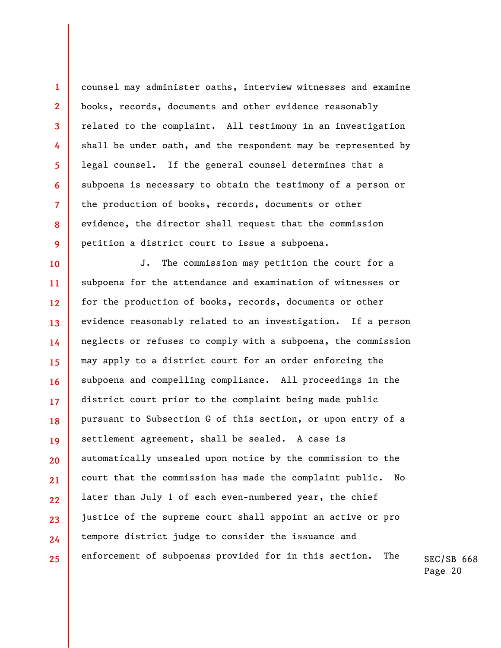counsel may administer oaths, interview witnesses and examine books, records, documents and other evidence reasonably related to the complaint. All testimony in an investigation shall be under oath, and the respondent may be represented by legal counsel. If the general counsel determines that a subpoena is necessary to obtain the testimony of a person or the production of books, records, documents or other evidence, the director shall request that the commission petition a district court to issue a subpoena.

**1** 

**2** 

**3** 

**4** 

**5** 

**6** 

**7** 

**8** 

**9** 

**10 11 12 13 14 15 16 17 18 19 20 21 22 23 24 25**  J. The commission may petition the court for a subpoena for the attendance and examination of witnesses or for the production of books, records, documents or other evidence reasonably related to an investigation. If a person neglects or refuses to comply with a subpoena, the commission may apply to a district court for an order enforcing the subpoena and compelling compliance. All proceedings in the district court prior to the complaint being made public pursuant to Subsection G of this section, or upon entry of a settlement agreement, shall be sealed. A case is automatically unsealed upon notice by the commission to the court that the commission has made the complaint public. No later than July 1 of each even-numbered year, the chief justice of the supreme court shall appoint an active or pro tempore district judge to consider the issuance and enforcement of subpoenas provided for in this section. The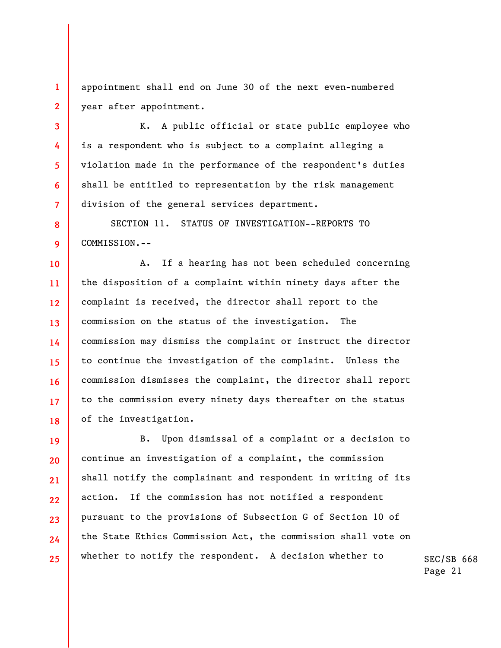appointment shall end on June 30 of the next even-numbered year after appointment.

**1** 

**2** 

**3** 

**4** 

**5** 

**6** 

**7** 

**8** 

**9** 

K. A public official or state public employee who is a respondent who is subject to a complaint alleging a violation made in the performance of the respondent's duties shall be entitled to representation by the risk management division of the general services department.

SECTION 11. STATUS OF INVESTIGATION--REPORTS TO COMMISSION.--

**10 11 12 13 14 15 16 17 18**  A. If a hearing has not been scheduled concerning the disposition of a complaint within ninety days after the complaint is received, the director shall report to the commission on the status of the investigation. The commission may dismiss the complaint or instruct the director to continue the investigation of the complaint. Unless the commission dismisses the complaint, the director shall report to the commission every ninety days thereafter on the status of the investigation.

**19 20 21 22 23 24 25**  B. Upon dismissal of a complaint or a decision to continue an investigation of a complaint, the commission shall notify the complainant and respondent in writing of its action. If the commission has not notified a respondent pursuant to the provisions of Subsection G of Section 10 of the State Ethics Commission Act, the commission shall vote on whether to notify the respondent. A decision whether to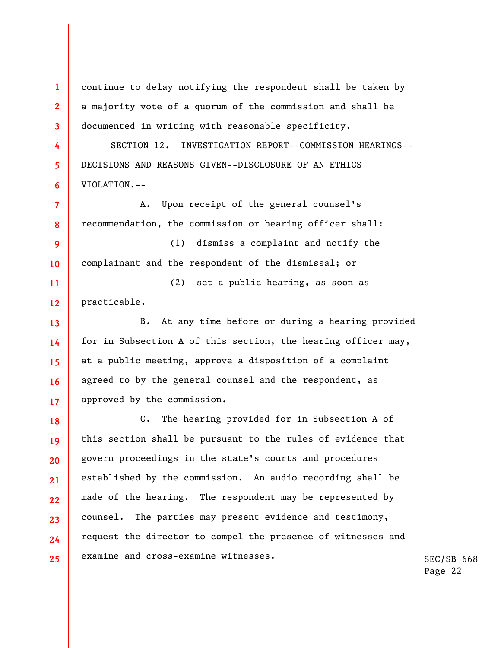**1 2 3 4 5 6 7 8 9 10 11 12 13 14 15 16 17 18 19 20 21 22 23 24 25**  continue to delay notifying the respondent shall be taken by a majority vote of a quorum of the commission and shall be documented in writing with reasonable specificity. SECTION 12. INVESTIGATION REPORT--COMMISSION HEARINGS-- DECISIONS AND REASONS GIVEN--DISCLOSURE OF AN ETHICS VIOLATION.-- A. Upon receipt of the general counsel's recommendation, the commission or hearing officer shall: (1) dismiss a complaint and notify the complainant and the respondent of the dismissal; or (2) set a public hearing, as soon as practicable. B. At any time before or during a hearing provided for in Subsection A of this section, the hearing officer may, at a public meeting, approve a disposition of a complaint agreed to by the general counsel and the respondent, as approved by the commission. C. The hearing provided for in Subsection A of this section shall be pursuant to the rules of evidence that govern proceedings in the state's courts and procedures established by the commission. An audio recording shall be made of the hearing. The respondent may be represented by counsel. The parties may present evidence and testimony, request the director to compel the presence of witnesses and examine and cross-examine witnesses.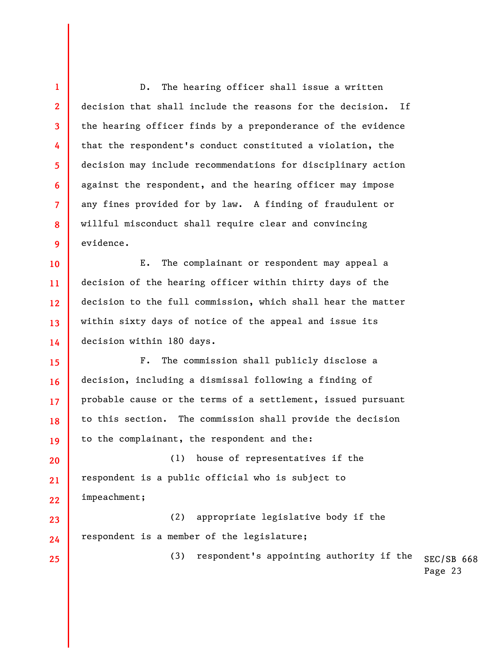**4 6**  D. The hearing officer shall issue a written decision that shall include the reasons for the decision. If the hearing officer finds by a preponderance of the evidence that the respondent's conduct constituted a violation, the decision may include recommendations for disciplinary action against the respondent, and the hearing officer may impose any fines provided for by law. A finding of fraudulent or willful misconduct shall require clear and convincing evidence.

**1** 

**2** 

**3** 

**5** 

**7** 

**8** 

**9** 

**23** 

**24** 

**25** 

**10 11 12 13 14**  E. The complainant or respondent may appeal a decision of the hearing officer within thirty days of the decision to the full commission, which shall hear the matter within sixty days of notice of the appeal and issue its decision within 180 days.

**15 16 17 18 19**  F. The commission shall publicly disclose a decision, including a dismissal following a finding of probable cause or the terms of a settlement, issued pursuant to this section. The commission shall provide the decision to the complainant, the respondent and the:

**20 21 22**  (1) house of representatives if the respondent is a public official who is subject to impeachment;

(2) appropriate legislative body if the respondent is a member of the legislature;

> SEC/SB 668 Page 23 (3) respondent's appointing authority if the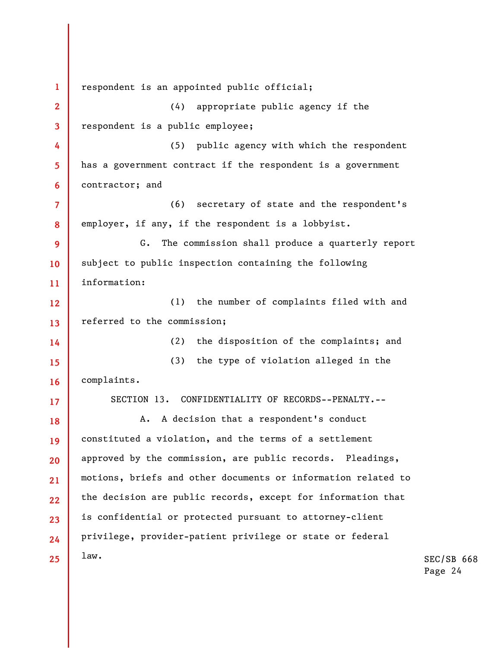SEC/SB 668 **1 2 3 4 5 6 7 8 9 10 11 12 13 14 15 16 17 18 19 20 21 22 23 24 25**  respondent is an appointed public official; (4) appropriate public agency if the respondent is a public employee; (5) public agency with which the respondent has a government contract if the respondent is a government contractor; and (6) secretary of state and the respondent's employer, if any, if the respondent is a lobbyist. G. The commission shall produce a quarterly report subject to public inspection containing the following information: (1) the number of complaints filed with and referred to the commission; (2) the disposition of the complaints; and (3) the type of violation alleged in the complaints. SECTION 13. CONFIDENTIALITY OF RECORDS--PENALTY.-- A. A decision that a respondent's conduct constituted a violation, and the terms of a settlement approved by the commission, are public records. Pleadings, motions, briefs and other documents or information related to the decision are public records, except for information that is confidential or protected pursuant to attorney-client privilege, provider-patient privilege or state or federal law.

Page 24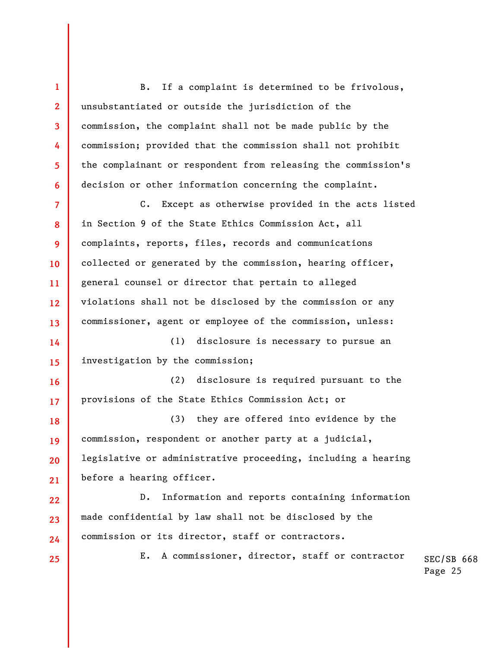**1 2 3 4 5 6 7 8 9 10 11 12 13 14 15 16 17 18 19 20 21 22 23 24 25**  B. If a complaint is determined to be frivolous, unsubstantiated or outside the jurisdiction of the commission, the complaint shall not be made public by the commission; provided that the commission shall not prohibit the complainant or respondent from releasing the commission's decision or other information concerning the complaint. C. Except as otherwise provided in the acts listed in Section 9 of the State Ethics Commission Act, all complaints, reports, files, records and communications collected or generated by the commission, hearing officer, general counsel or director that pertain to alleged violations shall not be disclosed by the commission or any commissioner, agent or employee of the commission, unless: (1) disclosure is necessary to pursue an investigation by the commission; (2) disclosure is required pursuant to the provisions of the State Ethics Commission Act; or (3) they are offered into evidence by the commission, respondent or another party at a judicial, legislative or administrative proceeding, including a hearing before a hearing officer. D. Information and reports containing information made confidential by law shall not be disclosed by the commission or its director, staff or contractors. E. A commissioner, director, staff or contractor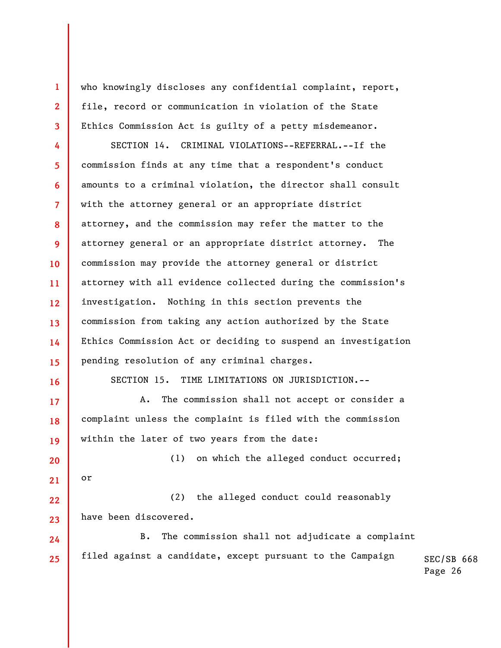who knowingly discloses any confidential complaint, report, file, record or communication in violation of the State Ethics Commission Act is guilty of a petty misdemeanor.

**4 5 6 7 8 9 10 11 12 13 14 15**  SECTION 14. CRIMINAL VIOLATIONS--REFERRAL.--If the commission finds at any time that a respondent's conduct amounts to a criminal violation, the director shall consult with the attorney general or an appropriate district attorney, and the commission may refer the matter to the attorney general or an appropriate district attorney. The commission may provide the attorney general or district attorney with all evidence collected during the commission's investigation. Nothing in this section prevents the commission from taking any action authorized by the State Ethics Commission Act or deciding to suspend an investigation pending resolution of any criminal charges.

**16** 

**17** 

**18** 

**19** 

**1** 

**2** 

**3** 

SECTION 15. TIME LIMITATIONS ON JURISDICTION.--

A. The commission shall not accept or consider a complaint unless the complaint is filed with the commission within the later of two years from the date:

**20 21**  (1) on which the alleged conduct occurred; or

**22 23**  (2) the alleged conduct could reasonably have been discovered.

**24 25**  B. The commission shall not adjudicate a complaint filed against a candidate, except pursuant to the Campaign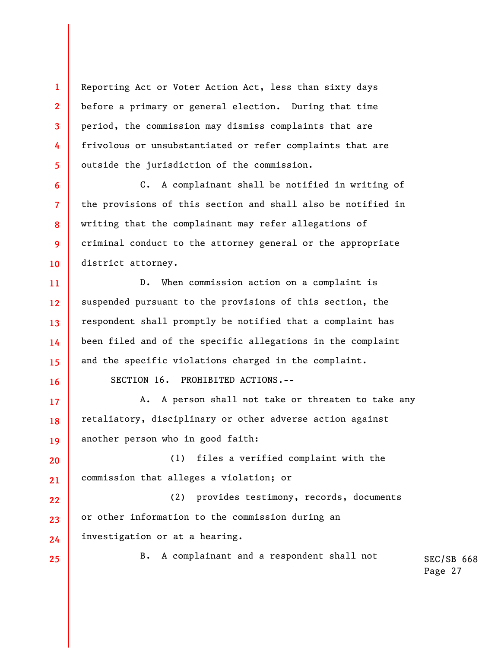Reporting Act or Voter Action Act, less than sixty days before a primary or general election. During that time period, the commission may dismiss complaints that are frivolous or unsubstantiated or refer complaints that are outside the jurisdiction of the commission.

C. A complainant shall be notified in writing of the provisions of this section and shall also be notified in writing that the complainant may refer allegations of criminal conduct to the attorney general or the appropriate district attorney.

**12 13 14 15**  D. When commission action on a complaint is suspended pursuant to the provisions of this section, the respondent shall promptly be notified that a complaint has been filed and of the specific allegations in the complaint and the specific violations charged in the complaint.

**16** 

**17** 

**18** 

**19** 

**1** 

**2** 

**3** 

**4** 

**5** 

**6** 

**7** 

**8** 

**9** 

**10** 

**11** 

SECTION 16. PROHIBITED ACTIONS.--

A. A person shall not take or threaten to take any retaliatory, disciplinary or other adverse action against another person who in good faith:

**20 21**  (1) files a verified complaint with the commission that alleges a violation; or

**22 23 24**  (2) provides testimony, records, documents or other information to the commission during an investigation or at a hearing.

**25** 

B. A complainant and a respondent shall not

```
SEC/SB 668
Page 27
```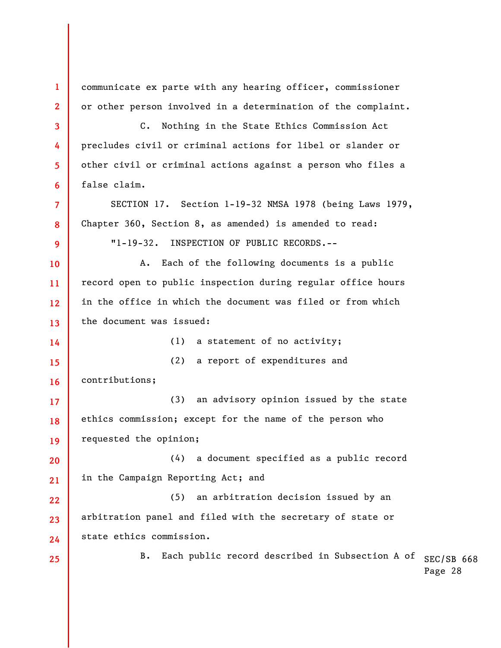B. Each public record described in Subsection A of  $_{\rm SEC/SB}$  668 Page 28 **1 2 3 4 5 6 7 8 9 10 11 12 13 14 15 16 17 18 19 20 21 22 23 24 25**  communicate ex parte with any hearing officer, commissioner or other person involved in a determination of the complaint. C. Nothing in the State Ethics Commission Act precludes civil or criminal actions for libel or slander or other civil or criminal actions against a person who files a false claim. SECTION 17. Section 1-19-32 NMSA 1978 (being Laws 1979, Chapter 360, Section 8, as amended) is amended to read: "1-19-32. INSPECTION OF PUBLIC RECORDS.-- A. Each of the following documents is a public record open to public inspection during regular office hours in the office in which the document was filed or from which the document was issued: (1) a statement of no activity; (2) a report of expenditures and contributions; (3) an advisory opinion issued by the state ethics commission; except for the name of the person who requested the opinion; (4) a document specified as a public record in the Campaign Reporting Act; and (5) an arbitration decision issued by an arbitration panel and filed with the secretary of state or state ethics commission.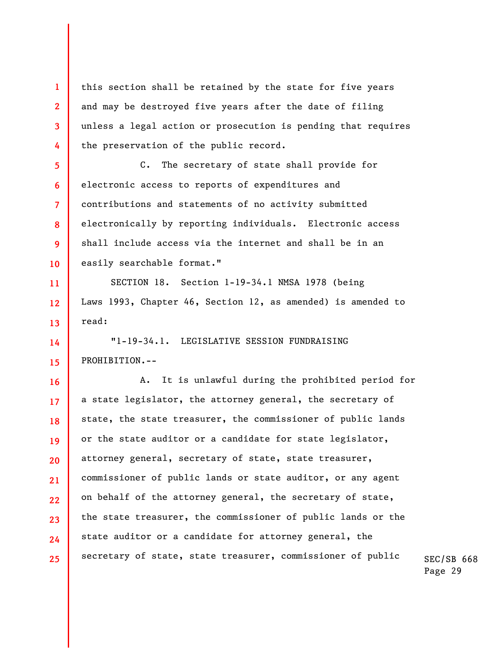this section shall be retained by the state for five years and may be destroyed five years after the date of filing unless a legal action or prosecution is pending that requires the preservation of the public record.

**1** 

**2** 

**3** 

**4** 

**5** 

**6** 

**7** 

**8** 

**9** 

**10** 

**11** 

**12** 

**13** 

**14** 

**15** 

C. The secretary of state shall provide for electronic access to reports of expenditures and contributions and statements of no activity submitted electronically by reporting individuals. Electronic access shall include access via the internet and shall be in an easily searchable format."

SECTION 18. Section 1-19-34.1 NMSA 1978 (being Laws 1993, Chapter 46, Section 12, as amended) is amended to read:

"1-19-34.1. LEGISLATIVE SESSION FUNDRAISING PROHIBITION.--

**16 17 18 19 20 21 22 23 24 25**  A. It is unlawful during the prohibited period for a state legislator, the attorney general, the secretary of state, the state treasurer, the commissioner of public lands or the state auditor or a candidate for state legislator, attorney general, secretary of state, state treasurer, commissioner of public lands or state auditor, or any agent on behalf of the attorney general, the secretary of state, the state treasurer, the commissioner of public lands or the state auditor or a candidate for attorney general, the secretary of state, state treasurer, commissioner of public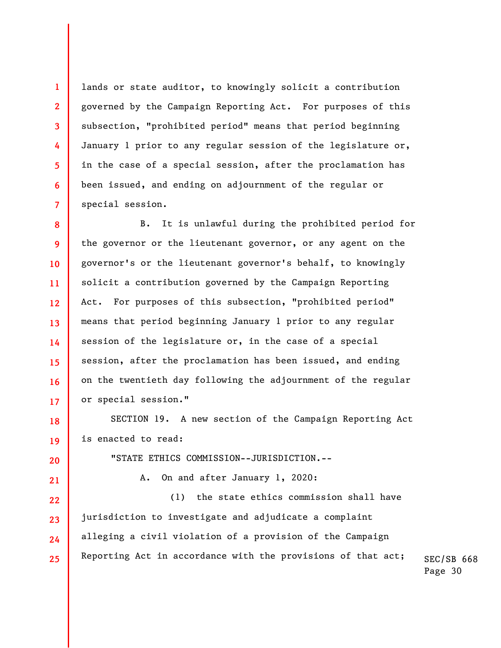lands or state auditor, to knowingly solicit a contribution governed by the Campaign Reporting Act. For purposes of this subsection, "prohibited period" means that period beginning January 1 prior to any regular session of the legislature or, in the case of a special session, after the proclamation has been issued, and ending on adjournment of the regular or special session.

**1** 

**2** 

**3** 

**4** 

**5** 

**6** 

**7** 

**20** 

**21** 

**8 9 10 11 12 13 14 15 16 17**  B. It is unlawful during the prohibited period for the governor or the lieutenant governor, or any agent on the governor's or the lieutenant governor's behalf, to knowingly solicit a contribution governed by the Campaign Reporting Act. For purposes of this subsection, "prohibited period" means that period beginning January 1 prior to any regular session of the legislature or, in the case of a special session, after the proclamation has been issued, and ending on the twentieth day following the adjournment of the regular or special session."

**18 19**  SECTION 19. A new section of the Campaign Reporting Act is enacted to read:

"STATE ETHICS COMMISSION--JURISDICTION.--

A. On and after January 1, 2020:

SEC/SB 668 **22 23 24 25**  (1) the state ethics commission shall have jurisdiction to investigate and adjudicate a complaint alleging a civil violation of a provision of the Campaign Reporting Act in accordance with the provisions of that act;

Page 30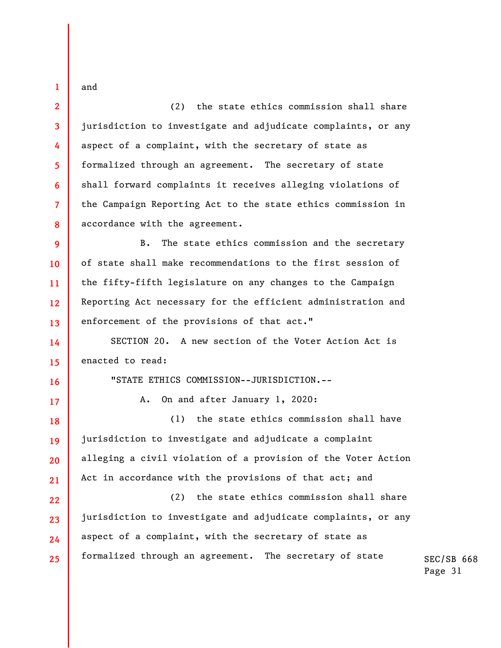and

**1** 

**2** 

**3** 

**4** 

**5** 

**6** 

**7** 

**8** 

(2) the state ethics commission shall share jurisdiction to investigate and adjudicate complaints, or any aspect of a complaint, with the secretary of state as formalized through an agreement. The secretary of state shall forward complaints it receives alleging violations of the Campaign Reporting Act to the state ethics commission in accordance with the agreement.

**9 10 11 12 13**  B. The state ethics commission and the secretary of state shall make recommendations to the first session of the fifty-fifth legislature on any changes to the Campaign Reporting Act necessary for the efficient administration and enforcement of the provisions of that act."

**14 15**  SECTION 20. A new section of the Voter Action Act is enacted to read:

**16** 

**17** 

"STATE ETHICS COMMISSION--JURISDICTION.--

A. On and after January 1, 2020:

**18 19 20 21**  (1) the state ethics commission shall have jurisdiction to investigate and adjudicate a complaint alleging a civil violation of a provision of the Voter Action Act in accordance with the provisions of that act; and

**22 23 24 25**  (2) the state ethics commission shall share jurisdiction to investigate and adjudicate complaints, or any aspect of a complaint, with the secretary of state as formalized through an agreement. The secretary of state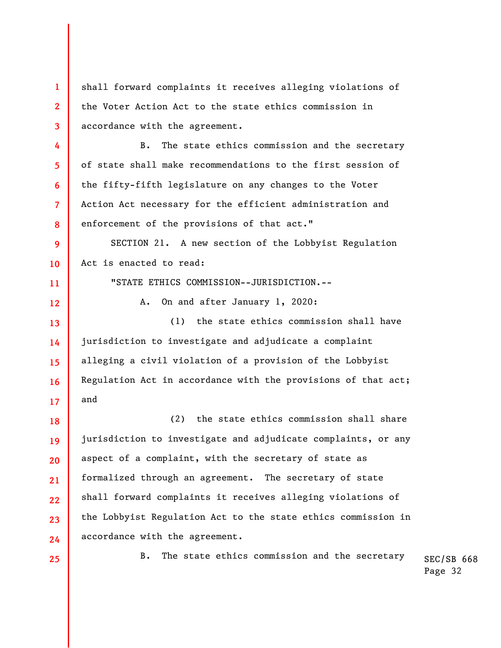**1 2 3 4 5 6 7 8 9 10 11 12 13 14 15 16 17 18 19 20 21 22 23 24 25**  shall forward complaints it receives alleging violations of the Voter Action Act to the state ethics commission in accordance with the agreement. B. The state ethics commission and the secretary of state shall make recommendations to the first session of the fifty-fifth legislature on any changes to the Voter Action Act necessary for the efficient administration and enforcement of the provisions of that act." SECTION 21. A new section of the Lobbyist Regulation Act is enacted to read: "STATE ETHICS COMMISSION--JURISDICTION.-- A. On and after January 1, 2020: (1) the state ethics commission shall have jurisdiction to investigate and adjudicate a complaint alleging a civil violation of a provision of the Lobbyist Regulation Act in accordance with the provisions of that act; and (2) the state ethics commission shall share jurisdiction to investigate and adjudicate complaints, or any aspect of a complaint, with the secretary of state as formalized through an agreement. The secretary of state shall forward complaints it receives alleging violations of the Lobbyist Regulation Act to the state ethics commission in accordance with the agreement. B. The state ethics commission and the secretary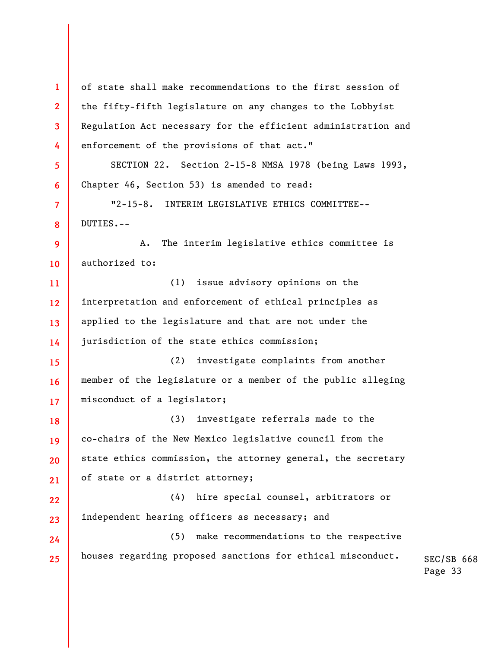SEC/SB 668 Page 33 **1 2 3 4 5 6 7 8 9 10 11 12 13 14 15 16 17 18 19 20 21 22 23 24 25**  of state shall make recommendations to the first session of the fifty-fifth legislature on any changes to the Lobbyist Regulation Act necessary for the efficient administration and enforcement of the provisions of that act." SECTION 22. Section 2-15-8 NMSA 1978 (being Laws 1993, Chapter 46, Section 53) is amended to read: "2-15-8. INTERIM LEGISLATIVE ETHICS COMMITTEE-- DUTIES.-- A. The interim legislative ethics committee is authorized to: (1) issue advisory opinions on the interpretation and enforcement of ethical principles as applied to the legislature and that are not under the jurisdiction of the state ethics commission; (2) investigate complaints from another member of the legislature or a member of the public alleging misconduct of a legislator; (3) investigate referrals made to the co-chairs of the New Mexico legislative council from the state ethics commission, the attorney general, the secretary of state or a district attorney; (4) hire special counsel, arbitrators or independent hearing officers as necessary; and (5) make recommendations to the respective houses regarding proposed sanctions for ethical misconduct.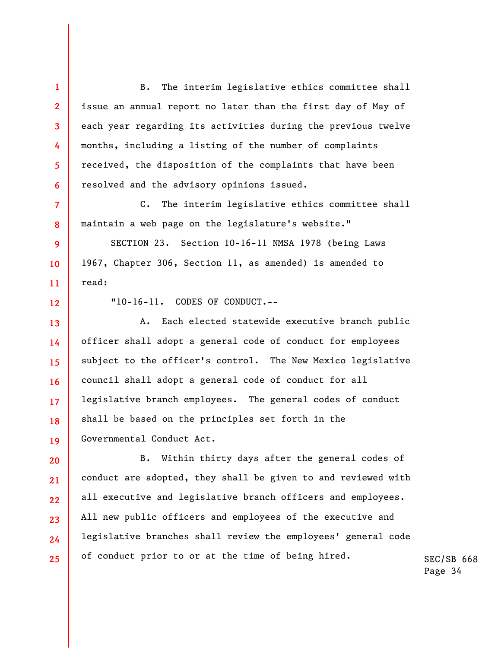B. The interim legislative ethics committee shall issue an annual report no later than the first day of May of each year regarding its activities during the previous twelve months, including a listing of the number of complaints received, the disposition of the complaints that have been resolved and the advisory opinions issued.

C. The interim legislative ethics committee shall maintain a web page on the legislature's website."

SECTION 23. Section 10-16-11 NMSA 1978 (being Laws 1967, Chapter 306, Section 11, as amended) is amended to read:

**12 13** 

**14** 

**15** 

**16** 

**17** 

**18** 

**19** 

**1** 

**2** 

**3** 

**4** 

**5** 

**6** 

**7** 

**8** 

**9** 

**10** 

**11** 

"10-16-11. CODES OF CONDUCT.--

A. Each elected statewide executive branch public officer shall adopt a general code of conduct for employees subject to the officer's control. The New Mexico legislative council shall adopt a general code of conduct for all legislative branch employees. The general codes of conduct shall be based on the principles set forth in the Governmental Conduct Act.

**20 21 22 23 24 25**  B. Within thirty days after the general codes of conduct are adopted, they shall be given to and reviewed with all executive and legislative branch officers and employees. All new public officers and employees of the executive and legislative branches shall review the employees' general code of conduct prior to or at the time of being hired.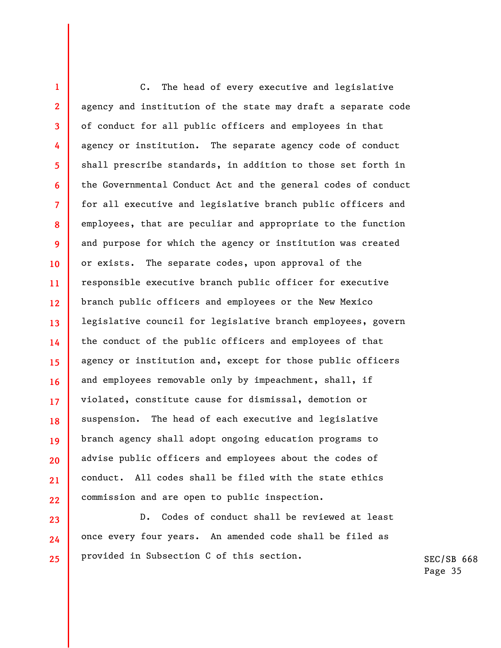**1 2 3 4 5 6 7 8 9 10 11 12 13 14 15 16 17 18 19 20 21 22**  C. The head of every executive and legislative agency and institution of the state may draft a separate code of conduct for all public officers and employees in that agency or institution. The separate agency code of conduct shall prescribe standards, in addition to those set forth in the Governmental Conduct Act and the general codes of conduct for all executive and legislative branch public officers and employees, that are peculiar and appropriate to the function and purpose for which the agency or institution was created or exists. The separate codes, upon approval of the responsible executive branch public officer for executive branch public officers and employees or the New Mexico legislative council for legislative branch employees, govern the conduct of the public officers and employees of that agency or institution and, except for those public officers and employees removable only by impeachment, shall, if violated, constitute cause for dismissal, demotion or suspension. The head of each executive and legislative branch agency shall adopt ongoing education programs to advise public officers and employees about the codes of conduct. All codes shall be filed with the state ethics commission and are open to public inspection.

D. Codes of conduct shall be reviewed at least once every four years. An amended code shall be filed as provided in Subsection C of this section.

**23** 

**24** 

**25**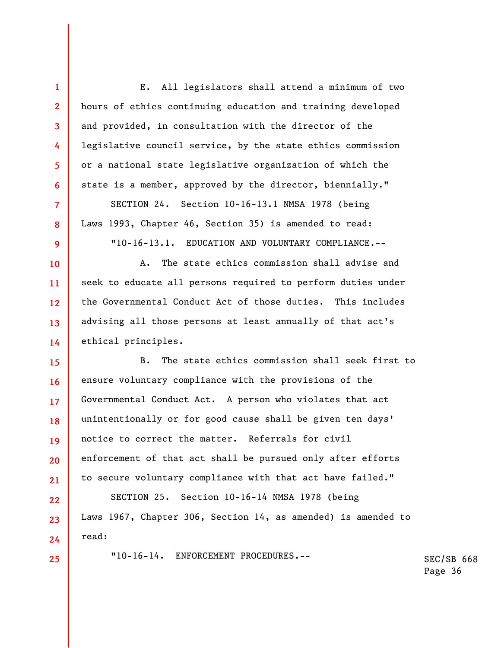**1 2 3 4 5 6 7 8 9 10 11 12 13 14 15 16 17 18 19 20 21 22 23 24 25**  E. All legislators shall attend a minimum of two hours of ethics continuing education and training developed and provided, in consultation with the director of the legislative council service, by the state ethics commission or a national state legislative organization of which the state is a member, approved by the director, biennially." SECTION 24. Section 10-16-13.1 NMSA 1978 (being Laws 1993, Chapter 46, Section 35) is amended to read: "10-16-13.1. EDUCATION AND VOLUNTARY COMPLIANCE.-- A. The state ethics commission shall advise and seek to educate all persons required to perform duties under the Governmental Conduct Act of those duties. This includes advising all those persons at least annually of that act's ethical principles. B. The state ethics commission shall seek first to ensure voluntary compliance with the provisions of the Governmental Conduct Act. A person who violates that act unintentionally or for good cause shall be given ten days' notice to correct the matter. Referrals for civil enforcement of that act shall be pursued only after efforts to secure voluntary compliance with that act have failed." SECTION 25. Section 10-16-14 NMSA 1978 (being Laws 1967, Chapter 306, Section 14, as amended) is amended to read: "10-16-14. ENFORCEMENT PROCEDURES.--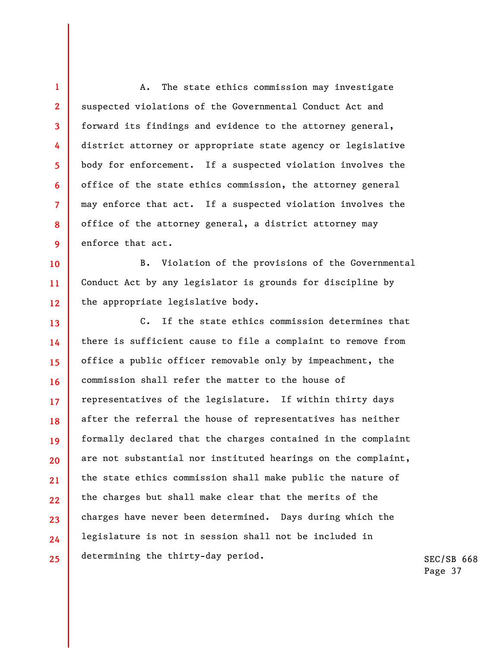A. The state ethics commission may investigate suspected violations of the Governmental Conduct Act and forward its findings and evidence to the attorney general, district attorney or appropriate state agency or legislative body for enforcement. If a suspected violation involves the office of the state ethics commission, the attorney general may enforce that act. If a suspected violation involves the office of the attorney general, a district attorney may enforce that act.

**1** 

**2** 

**3** 

**4** 

**5** 

**6** 

**7** 

**8** 

**9** 

**10** 

**11** 

**12** 

B. Violation of the provisions of the Governmental Conduct Act by any legislator is grounds for discipline by the appropriate legislative body.

**13 14 15 16 17 18 19 20 21 22 23 24 25**  C. If the state ethics commission determines that there is sufficient cause to file a complaint to remove from office a public officer removable only by impeachment, the commission shall refer the matter to the house of representatives of the legislature. If within thirty days after the referral the house of representatives has neither formally declared that the charges contained in the complaint are not substantial nor instituted hearings on the complaint, the state ethics commission shall make public the nature of the charges but shall make clear that the merits of the charges have never been determined. Days during which the legislature is not in session shall not be included in determining the thirty-day period.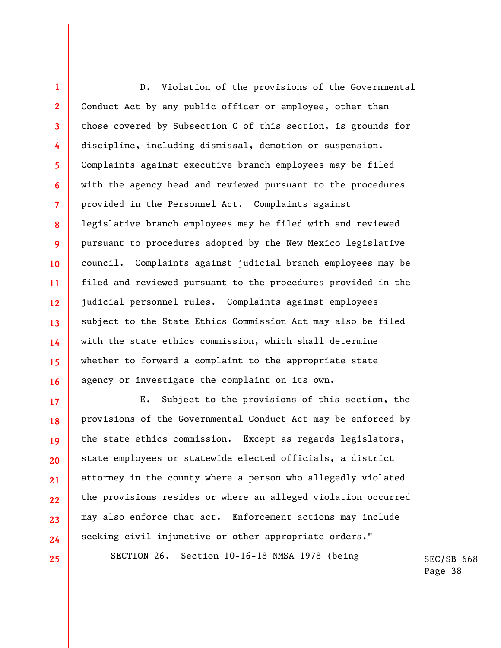**1 2 3 4 5 6 7 8 9 10 11 12 13 14 15 16**  D. Violation of the provisions of the Governmental Conduct Act by any public officer or employee, other than those covered by Subsection C of this section, is grounds for discipline, including dismissal, demotion or suspension. Complaints against executive branch employees may be filed with the agency head and reviewed pursuant to the procedures provided in the Personnel Act. Complaints against legislative branch employees may be filed with and reviewed pursuant to procedures adopted by the New Mexico legislative council. Complaints against judicial branch employees may be filed and reviewed pursuant to the procedures provided in the judicial personnel rules. Complaints against employees subject to the State Ethics Commission Act may also be filed with the state ethics commission, which shall determine whether to forward a complaint to the appropriate state agency or investigate the complaint on its own.

E. Subject to the provisions of this section, the provisions of the Governmental Conduct Act may be enforced by the state ethics commission. Except as regards legislators, state employees or statewide elected officials, a district attorney in the county where a person who allegedly violated the provisions resides or where an alleged violation occurred may also enforce that act. Enforcement actions may include seeking civil injunctive or other appropriate orders."

**17** 

**18** 

**19** 

**20** 

**21** 

**22** 

**23** 

**24** 

**25** 

SECTION 26. Section 10-16-18 NMSA 1978 (being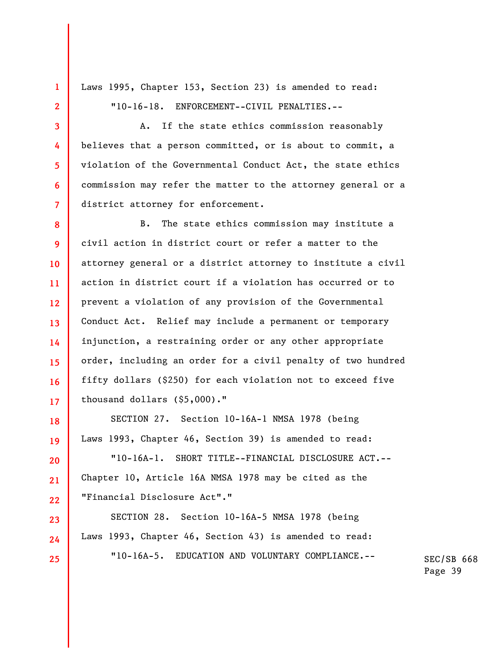Laws 1995, Chapter 153, Section 23) is amended to read: "10-16-18. ENFORCEMENT--CIVIL PENALTIES.--

**1** 

**2** 

**3** 

**4** 

**5** 

**6** 

**7** 

**10** 

**16** 

**18** 

**19** 

**20** 

**21** 

**22** 

**23** 

**24** 

**25** 

A. If the state ethics commission reasonably believes that a person committed, or is about to commit, a violation of the Governmental Conduct Act, the state ethics commission may refer the matter to the attorney general or a district attorney for enforcement.

**8 9 11 12 13 14 15 17**  B. The state ethics commission may institute a civil action in district court or refer a matter to the attorney general or a district attorney to institute a civil action in district court if a violation has occurred or to prevent a violation of any provision of the Governmental Conduct Act. Relief may include a permanent or temporary injunction, a restraining order or any other appropriate order, including an order for a civil penalty of two hundred fifty dollars (\$250) for each violation not to exceed five thousand dollars (\$5,000)."

SECTION 27. Section 10-16A-1 NMSA 1978 (being Laws 1993, Chapter 46, Section 39) is amended to read:

"10-16A-1. SHORT TITLE--FINANCIAL DISCLOSURE ACT.-- Chapter 10, Article 16A NMSA 1978 may be cited as the "Financial Disclosure Act"."

SECTION 28. Section 10-16A-5 NMSA 1978 (being Laws 1993, Chapter 46, Section 43) is amended to read: "10-16A-5. EDUCATION AND VOLUNTARY COMPLIANCE.--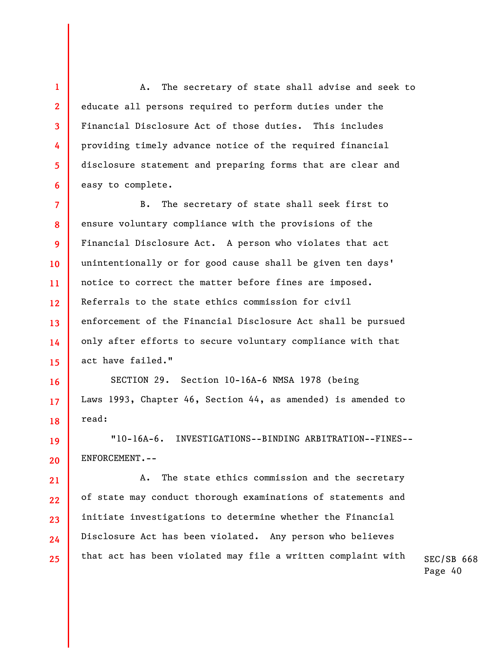A. The secretary of state shall advise and seek to educate all persons required to perform duties under the Financial Disclosure Act of those duties. This includes providing timely advance notice of the required financial disclosure statement and preparing forms that are clear and easy to complete.

**1** 

**2** 

**3** 

**4** 

**5** 

**6** 

**16** 

**17** 

**18** 

**19** 

**20** 

**21** 

**22** 

**23** 

**24** 

**25** 

**7 8 9 10 11 12 13 14 15**  B. The secretary of state shall seek first to ensure voluntary compliance with the provisions of the Financial Disclosure Act. A person who violates that act unintentionally or for good cause shall be given ten days' notice to correct the matter before fines are imposed. Referrals to the state ethics commission for civil enforcement of the Financial Disclosure Act shall be pursued only after efforts to secure voluntary compliance with that act have failed."

SECTION 29. Section 10-16A-6 NMSA 1978 (being Laws 1993, Chapter 46, Section 44, as amended) is amended to read:

"10-16A-6. INVESTIGATIONS--BINDING ARBITRATION--FINES-- ENFORCEMENT.--

A. The state ethics commission and the secretary of state may conduct thorough examinations of statements and initiate investigations to determine whether the Financial Disclosure Act has been violated. Any person who believes that act has been violated may file a written complaint with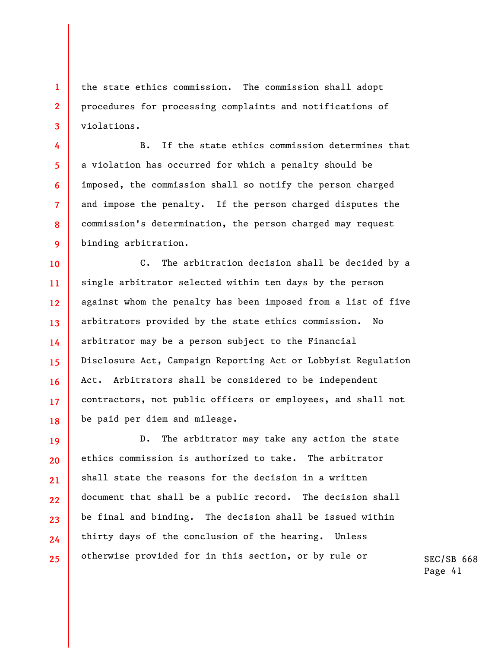**1 2 3**  the state ethics commission. The commission shall adopt procedures for processing complaints and notifications of violations.

**4** 

**5** 

**6** 

**7** 

**8** 

**9** 

B. If the state ethics commission determines that a violation has occurred for which a penalty should be imposed, the commission shall so notify the person charged and impose the penalty. If the person charged disputes the commission's determination, the person charged may request binding arbitration.

**10 11 12 13 14 15 16 17 18**  C. The arbitration decision shall be decided by a single arbitrator selected within ten days by the person against whom the penalty has been imposed from a list of five arbitrators provided by the state ethics commission. No arbitrator may be a person subject to the Financial Disclosure Act, Campaign Reporting Act or Lobbyist Regulation Act. Arbitrators shall be considered to be independent contractors, not public officers or employees, and shall not be paid per diem and mileage.

**19 20 21 22 23 24 25**  D. The arbitrator may take any action the state ethics commission is authorized to take. The arbitrator shall state the reasons for the decision in a written document that shall be a public record. The decision shall be final and binding. The decision shall be issued within thirty days of the conclusion of the hearing. Unless otherwise provided for in this section, or by rule or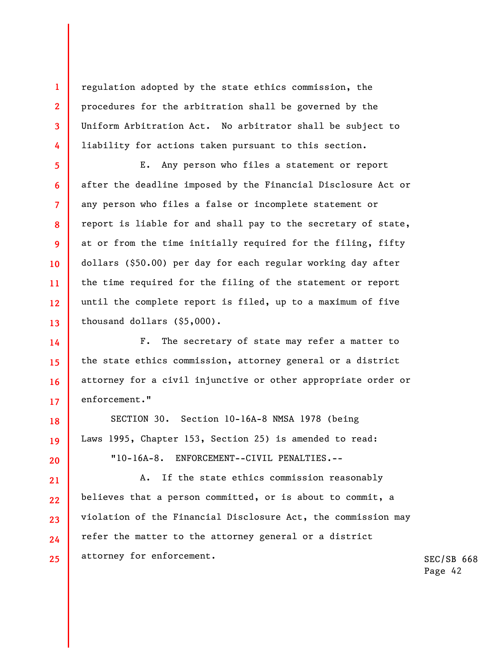regulation adopted by the state ethics commission, the procedures for the arbitration shall be governed by the Uniform Arbitration Act. No arbitrator shall be subject to liability for actions taken pursuant to this section.

**1** 

**2** 

**3** 

**4** 

**5** 

**6** 

**7** 

**8** 

**9** 

**10** 

**11** 

**12** 

**13** 

**14** 

**15** 

**16** 

**17** 

**20** 

E. Any person who files a statement or report after the deadline imposed by the Financial Disclosure Act or any person who files a false or incomplete statement or report is liable for and shall pay to the secretary of state, at or from the time initially required for the filing, fifty dollars (\$50.00) per day for each regular working day after the time required for the filing of the statement or report until the complete report is filed, up to a maximum of five thousand dollars (\$5,000).

F. The secretary of state may refer a matter to the state ethics commission, attorney general or a district attorney for a civil injunctive or other appropriate order or enforcement."

**18 19**  SECTION 30. Section 10-16A-8 NMSA 1978 (being Laws 1995, Chapter 153, Section 25) is amended to read:

"10-16A-8. ENFORCEMENT--CIVIL PENALTIES.--

**21 22 23 24 25**  A. If the state ethics commission reasonably believes that a person committed, or is about to commit, a violation of the Financial Disclosure Act, the commission may refer the matter to the attorney general or a district attorney for enforcement.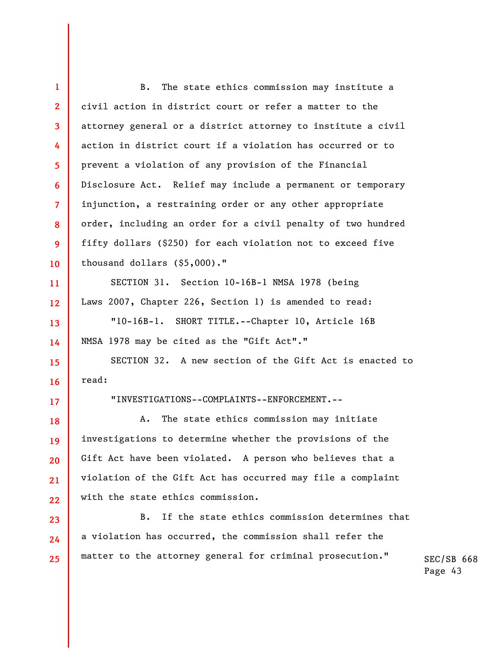| $\mathbf{1}$            | $B$ .<br>The state ethics commission may institute a         |
|-------------------------|--------------------------------------------------------------|
| $\overline{2}$          | civil action in district court or refer a matter to the      |
| $\overline{\mathbf{3}}$ | attorney general or a district attorney to institute a civil |
| 4                       | action in district court if a violation has occurred or to   |
| 5                       | prevent a violation of any provision of the Financial        |
| 6                       | Disclosure Act. Relief may include a permanent or temporary  |
| $\overline{7}$          | injunction, a restraining order or any other appropriate     |
| 8                       | order, including an order for a civil penalty of two hundred |
| 9                       | fifty dollars (\$250) for each violation not to exceed five  |
| 10                      | thousand dollars $(5,000)$ ."                                |
| 11                      | SECTION 31. Section 10-16B-1 NMSA 1978 (being                |
| 12 <sup>2</sup>         | Laws 2007, Chapter 226, Section 1) is amended to read:       |
| 13                      | "10-16B-1. SHORT TITLE.--Chapter 10, Article 16B             |
| 14                      | NMSA 1978 may be cited as the "Gift Act"."                   |
| 15                      | SECTION 32. A new section of the Gift Act is enacted to      |
| 16                      | read:                                                        |
| 17 <sup>2</sup>         | "INVESTIGATIONS--COMPLAINTS--ENFORCEMENT.--                  |
| 18                      | The state ethics commission may initiate<br>Α.               |
| 19                      | investigations to determine whether the provisions of the    |
| 20                      | Gift Act have been violated. A person who believes that a    |
| 21                      | violation of the Gift Act has occurred may file a complaint  |
| 22                      | with the state ethics commission.                            |
| 23                      | If the state ethics commission determines that<br>B.         |
| 24                      | a violation has occurred, the commission shall refer the     |
| 25                      | matter to the attorney general for criminal prosecution."    |
|                         |                                                              |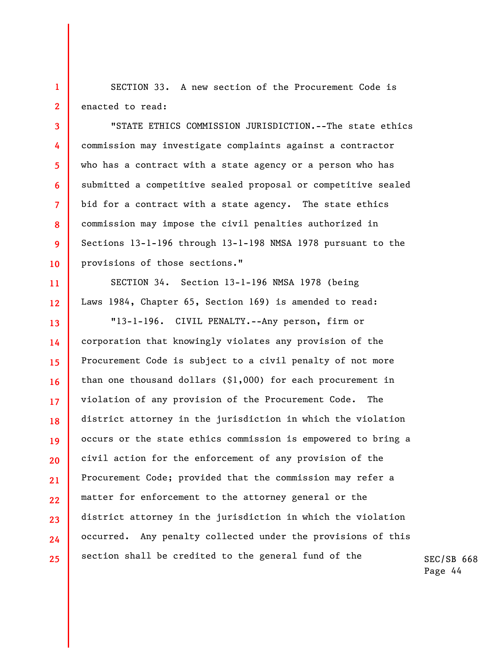**1 2**  SECTION 33. A new section of the Procurement Code is enacted to read:

**3** 

**4** 

**5** 

**6** 

**7** 

**8** 

**9** 

**10** 

**11** 

**12** 

"STATE ETHICS COMMISSION JURISDICTION.--The state ethics commission may investigate complaints against a contractor who has a contract with a state agency or a person who has submitted a competitive sealed proposal or competitive sealed bid for a contract with a state agency. The state ethics commission may impose the civil penalties authorized in Sections 13-1-196 through 13-1-198 NMSA 1978 pursuant to the provisions of those sections."

SECTION 34. Section 13-1-196 NMSA 1978 (being Laws 1984, Chapter 65, Section 169) is amended to read:

**13 14 15 16 17 18 19 20 21 22 23 24 25**  "13-1-196. CIVIL PENALTY.--Any person, firm or corporation that knowingly violates any provision of the Procurement Code is subject to a civil penalty of not more than one thousand dollars (\$1,000) for each procurement in violation of any provision of the Procurement Code. The district attorney in the jurisdiction in which the violation occurs or the state ethics commission is empowered to bring a civil action for the enforcement of any provision of the Procurement Code; provided that the commission may refer a matter for enforcement to the attorney general or the district attorney in the jurisdiction in which the violation occurred. Any penalty collected under the provisions of this section shall be credited to the general fund of the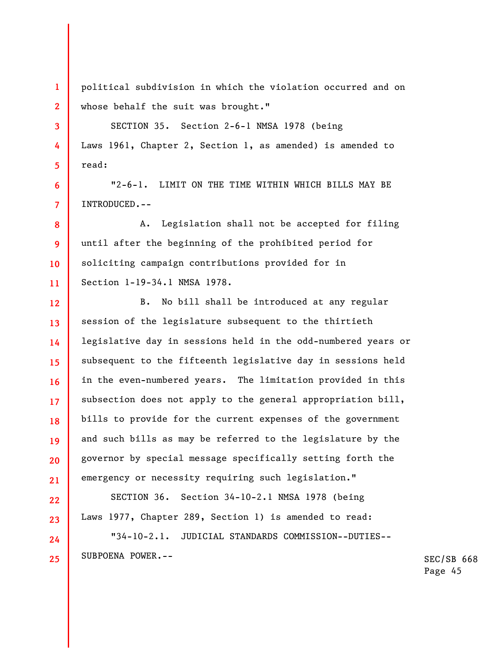political subdivision in which the violation occurred and on whose behalf the suit was brought."

**1** 

**2** 

**3** 

**4** 

**5** 

**6** 

**7** 

**22** 

**23** 

**24** 

**25** 

SECTION 35. Section 2-6-1 NMSA 1978 (being Laws 1961, Chapter 2, Section 1, as amended) is amended to read:

"2-6-1. LIMIT ON THE TIME WITHIN WHICH BILLS MAY BE INTRODUCED.--

**8 9 10 11**  A. Legislation shall not be accepted for filing until after the beginning of the prohibited period for soliciting campaign contributions provided for in Section 1-19-34.1 NMSA 1978.

**12 13 14 15 16 17 18 19 20 21**  B. No bill shall be introduced at any regular session of the legislature subsequent to the thirtieth legislative day in sessions held in the odd-numbered years or subsequent to the fifteenth legislative day in sessions held in the even-numbered years. The limitation provided in this subsection does not apply to the general appropriation bill, bills to provide for the current expenses of the government and such bills as may be referred to the legislature by the governor by special message specifically setting forth the emergency or necessity requiring such legislation."

SECTION 36. Section 34-10-2.1 NMSA 1978 (being Laws 1977, Chapter 289, Section 1) is amended to read:

"34-10-2.1. JUDICIAL STANDARDS COMMISSION--DUTIES-- SUBPOENA POWER.--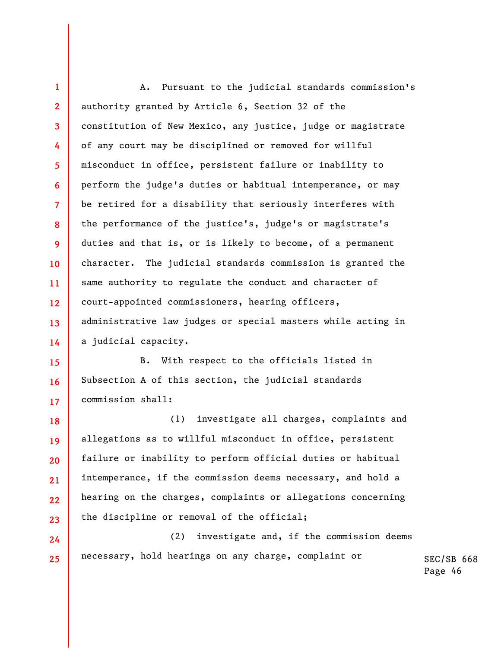**1 2 3 4 5 6 7 8 9 10 11 12 13 14**  A. Pursuant to the judicial standards commission's authority granted by Article 6, Section 32 of the constitution of New Mexico, any justice, judge or magistrate of any court may be disciplined or removed for willful misconduct in office, persistent failure or inability to perform the judge's duties or habitual intemperance, or may be retired for a disability that seriously interferes with the performance of the justice's, judge's or magistrate's duties and that is, or is likely to become, of a permanent character. The judicial standards commission is granted the same authority to regulate the conduct and character of court-appointed commissioners, hearing officers, administrative law judges or special masters while acting in a judicial capacity.

**15 16 17**  B. With respect to the officials listed in Subsection A of this section, the judicial standards commission shall:

**18 19 20 21 22 23**  (1) investigate all charges, complaints and allegations as to willful misconduct in office, persistent failure or inability to perform official duties or habitual intemperance, if the commission deems necessary, and hold a hearing on the charges, complaints or allegations concerning the discipline or removal of the official;

**24 25**  (2) investigate and, if the commission deems necessary, hold hearings on any charge, complaint or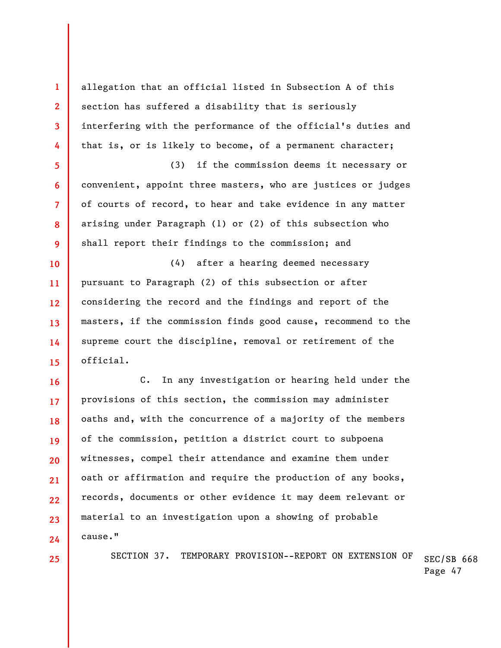**1 2 3 4 5 6 7 8 9 10 11 12 13 14 15 16 17 18 19 20 21 22 23 24**  allegation that an official listed in Subsection A of this section has suffered a disability that is seriously interfering with the performance of the official's duties and that is, or is likely to become, of a permanent character; (3) if the commission deems it necessary or convenient, appoint three masters, who are justices or judges of courts of record, to hear and take evidence in any matter arising under Paragraph (1) or (2) of this subsection who shall report their findings to the commission; and (4) after a hearing deemed necessary pursuant to Paragraph (2) of this subsection or after considering the record and the findings and report of the masters, if the commission finds good cause, recommend to the supreme court the discipline, removal or retirement of the official. C. In any investigation or hearing held under the provisions of this section, the commission may administer oaths and, with the concurrence of a majority of the members of the commission, petition a district court to subpoena witnesses, compel their attendance and examine them under oath or affirmation and require the production of any books, records, documents or other evidence it may deem relevant or material to an investigation upon a showing of probable cause."

SECTION 37. TEMPORARY PROVISION--REPORT ON EXTENSION OF

SEC/SB 668 Page 47

**25**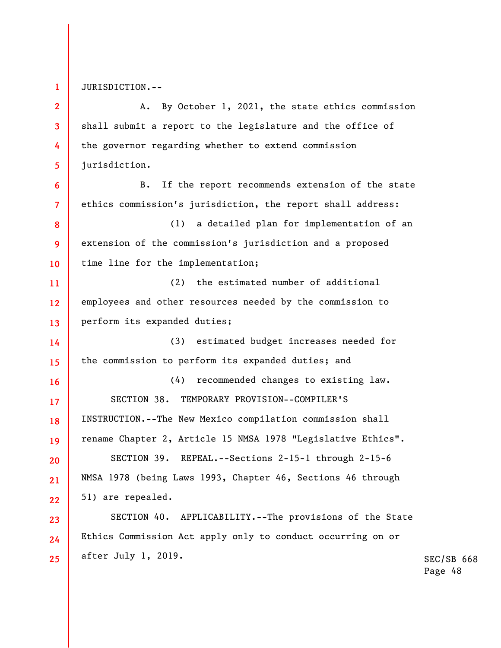**1** 

**6** 

**7** 

**16** 

**17** 

**19** 

**20** 

**21** 

**22** 

**23** 

**24** 

**25** 

JURISDICTION.--

**2 3 4 5**  A. By October 1, 2021, the state ethics commission shall submit a report to the legislature and the office of the governor regarding whether to extend commission jurisdiction.

B. If the report recommends extension of the state ethics commission's jurisdiction, the report shall address:

**8 9 10**  (1) a detailed plan for implementation of an extension of the commission's jurisdiction and a proposed time line for the implementation;

**11 12 13**  (2) the estimated number of additional employees and other resources needed by the commission to perform its expanded duties;

**14 15**  (3) estimated budget increases needed for the commission to perform its expanded duties; and

**18**  (4) recommended changes to existing law. SECTION 38. TEMPORARY PROVISION--COMPILER'S INSTRUCTION.--The New Mexico compilation commission shall rename Chapter 2, Article 15 NMSA 1978 "Legislative Ethics".

SECTION 39. REPEAL.--Sections 2-15-1 through 2-15-6 NMSA 1978 (being Laws 1993, Chapter 46, Sections 46 through 51) are repealed.

SECTION 40. APPLICABILITY.--The provisions of the State Ethics Commission Act apply only to conduct occurring on or after July 1, 2019.